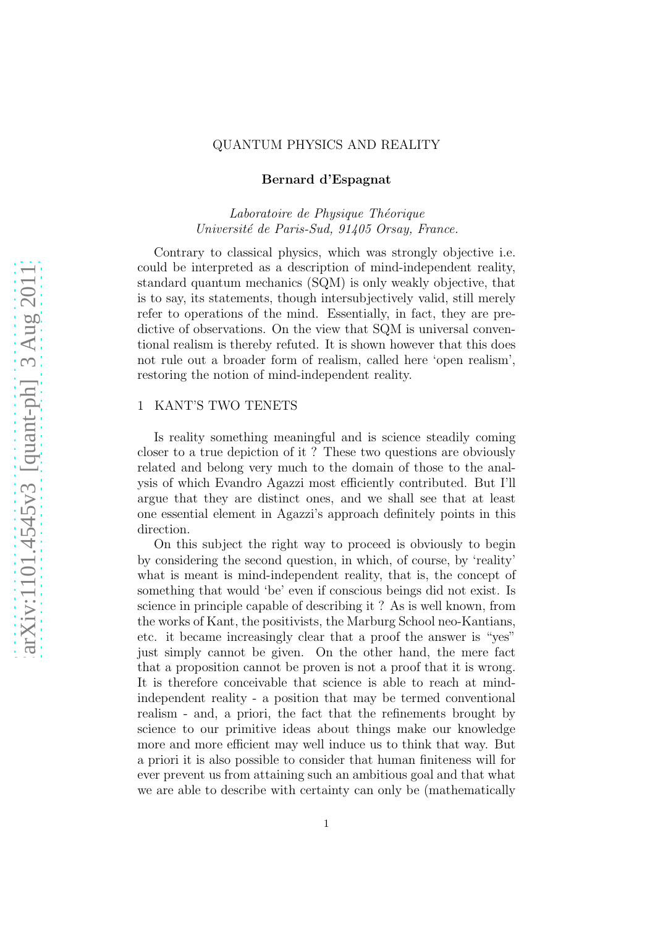## QUANTUM PHYSICS AND REALITY

## Bernard d'Espagnat

Laboratoire de Physique Théorique Université de Paris-Sud, 91405 Orsay, France.

Contrary to classical physics, which was strongly objective i.e. could be interpreted as a description of mind-independent reality, standard quantum mechanics (SQM) is only weakly objective, that is to say, its statements, though intersubjectively valid, still merely refer to operations of the mind. Essentially, in fact, they are predictive of observations. On the view that SQM is universal conventional realism is thereby refuted. It is shown however that this does not rule out a broader form of realism, called here 'open realism', restoring the notion of mind-independent reality.

## 1 KANT'S TWO TENETS

Is reality something meaningful and is science steadily coming closer to a true depiction of it ? These two questions are obviously related and belong very much to the domain of those to the analysis of which Evandro Agazzi most efficiently contributed. But I'll argue that they are distinct ones, and we shall see that at least one essential element in Agazzi's approach definitely points in this direction.

On this subject the right way to proceed is obviously to begin by considering the second question, in which, of course, by 'reality' what is meant is mind-independent reality, that is, the concept of something that would 'be' even if conscious beings did not exist. Is science in principle capable of describing it ? As is well known, from the works of Kant, the positivists, the Marburg School neo-Kantians, etc. it became increasingly clear that a proof the answer is "yes" just simply cannot be given. On the other hand, the mere fact that a proposition cannot be proven is not a proof that it is wrong. It is therefore conceivable that science is able to reach at mindindependent reality - a position that may be termed conventional realism - and, a priori, the fact that the refinements brought by science to our primitive ideas about things make our knowledge more and more efficient may well induce us to think that way. But a priori it is also possible to consider that human finiteness will for ever prevent us from attaining such an ambitious goal and that what we are able to describe with certainty can only be (mathematically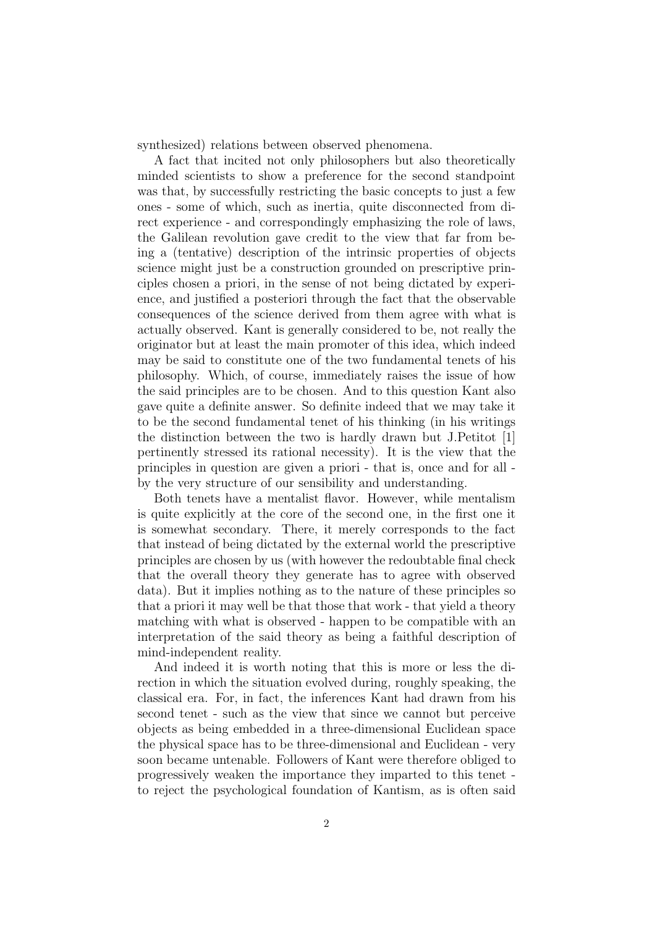synthesized) relations between observed phenomena.

A fact that incited not only philosophers but also theoretically minded scientists to show a preference for the second standpoint was that, by successfully restricting the basic concepts to just a few ones - some of which, such as inertia, quite disconnected from direct experience - and correspondingly emphasizing the role of laws, the Galilean revolution gave credit to the view that far from being a (tentative) description of the intrinsic properties of objects science might just be a construction grounded on prescriptive principles chosen a priori, in the sense of not being dictated by experience, and justified a posteriori through the fact that the observable consequences of the science derived from them agree with what is actually observed. Kant is generally considered to be, not really the originator but at least the main promoter of this idea, which indeed may be said to constitute one of the two fundamental tenets of his philosophy. Which, of course, immediately raises the issue of how the said principles are to be chosen. And to this question Kant also gave quite a definite answer. So definite indeed that we may take it to be the second fundamental tenet of his thinking (in his writings the distinction between the two is hardly drawn but J.Petitot [1] pertinently stressed its rational necessity). It is the view that the principles in question are given a priori - that is, once and for all by the very structure of our sensibility and understanding.

Both tenets have a mentalist flavor. However, while mentalism is quite explicitly at the core of the second one, in the first one it is somewhat secondary. There, it merely corresponds to the fact that instead of being dictated by the external world the prescriptive principles are chosen by us (with however the redoubtable final check that the overall theory they generate has to agree with observed data). But it implies nothing as to the nature of these principles so that a priori it may well be that those that work - that yield a theory matching with what is observed - happen to be compatible with an interpretation of the said theory as being a faithful description of mind-independent reality.

And indeed it is worth noting that this is more or less the direction in which the situation evolved during, roughly speaking, the classical era. For, in fact, the inferences Kant had drawn from his second tenet - such as the view that since we cannot but perceive objects as being embedded in a three-dimensional Euclidean space the physical space has to be three-dimensional and Euclidean - very soon became untenable. Followers of Kant were therefore obliged to progressively weaken the importance they imparted to this tenet to reject the psychological foundation of Kantism, as is often said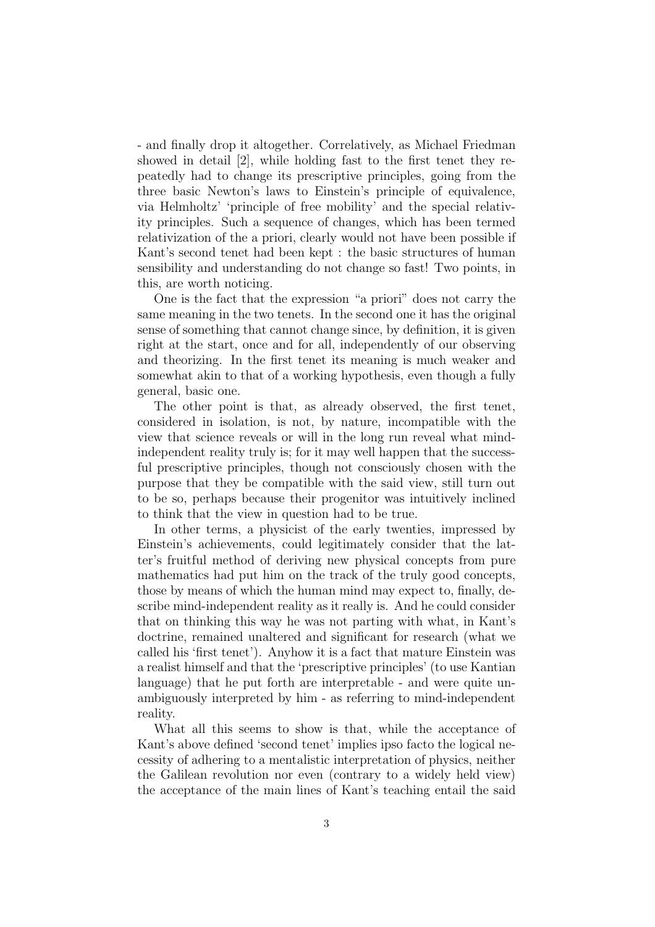- and finally drop it altogether. Correlatively, as Michael Friedman showed in detail [2], while holding fast to the first tenet they repeatedly had to change its prescriptive principles, going from the three basic Newton's laws to Einstein's principle of equivalence, via Helmholtz' 'principle of free mobility' and the special relativity principles. Such a sequence of changes, which has been termed relativization of the a priori, clearly would not have been possible if Kant's second tenet had been kept : the basic structures of human sensibility and understanding do not change so fast! Two points, in this, are worth noticing.

One is the fact that the expression "a priori" does not carry the same meaning in the two tenets. In the second one it has the original sense of something that cannot change since, by definition, it is given right at the start, once and for all, independently of our observing and theorizing. In the first tenet its meaning is much weaker and somewhat akin to that of a working hypothesis, even though a fully general, basic one.

The other point is that, as already observed, the first tenet, considered in isolation, is not, by nature, incompatible with the view that science reveals or will in the long run reveal what mindindependent reality truly is; for it may well happen that the successful prescriptive principles, though not consciously chosen with the purpose that they be compatible with the said view, still turn out to be so, perhaps because their progenitor was intuitively inclined to think that the view in question had to be true.

In other terms, a physicist of the early twenties, impressed by Einstein's achievements, could legitimately consider that the latter's fruitful method of deriving new physical concepts from pure mathematics had put him on the track of the truly good concepts, those by means of which the human mind may expect to, finally, describe mind-independent reality as it really is. And he could consider that on thinking this way he was not parting with what, in Kant's doctrine, remained unaltered and significant for research (what we called his 'first tenet'). Anyhow it is a fact that mature Einstein was a realist himself and that the 'prescriptive principles' (to use Kantian language) that he put forth are interpretable - and were quite unambiguously interpreted by him - as referring to mind-independent reality.

What all this seems to show is that, while the acceptance of Kant's above defined 'second tenet' implies ipso facto the logical necessity of adhering to a mentalistic interpretation of physics, neither the Galilean revolution nor even (contrary to a widely held view) the acceptance of the main lines of Kant's teaching entail the said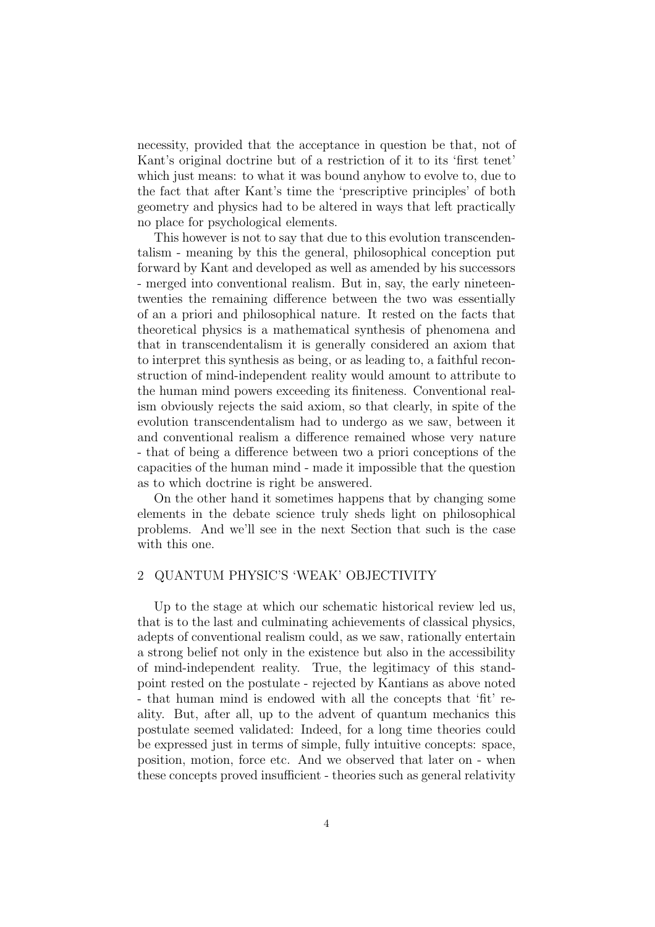necessity, provided that the acceptance in question be that, not of Kant's original doctrine but of a restriction of it to its 'first tenet' which just means: to what it was bound anyhow to evolve to, due to the fact that after Kant's time the 'prescriptive principles' of both geometry and physics had to be altered in ways that left practically no place for psychological elements.

This however is not to say that due to this evolution transcendentalism - meaning by this the general, philosophical conception put forward by Kant and developed as well as amended by his successors - merged into conventional realism. But in, say, the early nineteentwenties the remaining difference between the two was essentially of an a priori and philosophical nature. It rested on the facts that theoretical physics is a mathematical synthesis of phenomena and that in transcendentalism it is generally considered an axiom that to interpret this synthesis as being, or as leading to, a faithful reconstruction of mind-independent reality would amount to attribute to the human mind powers exceeding its finiteness. Conventional realism obviously rejects the said axiom, so that clearly, in spite of the evolution transcendentalism had to undergo as we saw, between it and conventional realism a difference remained whose very nature - that of being a difference between two a priori conceptions of the capacities of the human mind - made it impossible that the question as to which doctrine is right be answered.

On the other hand it sometimes happens that by changing some elements in the debate science truly sheds light on philosophical problems. And we'll see in the next Section that such is the case with this one.

## 2 QUANTUM PHYSIC'S 'WEAK' OBJECTIVITY

Up to the stage at which our schematic historical review led us, that is to the last and culminating achievements of classical physics, adepts of conventional realism could, as we saw, rationally entertain a strong belief not only in the existence but also in the accessibility of mind-independent reality. True, the legitimacy of this standpoint rested on the postulate - rejected by Kantians as above noted - that human mind is endowed with all the concepts that 'fit' reality. But, after all, up to the advent of quantum mechanics this postulate seemed validated: Indeed, for a long time theories could be expressed just in terms of simple, fully intuitive concepts: space, position, motion, force etc. And we observed that later on - when these concepts proved insufficient - theories such as general relativity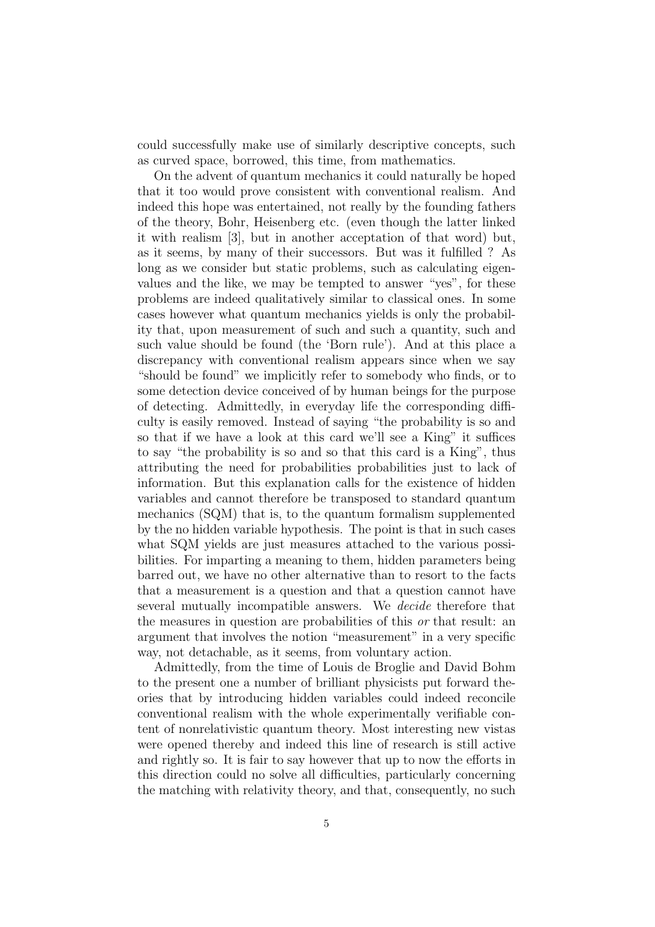could successfully make use of similarly descriptive concepts, such as curved space, borrowed, this time, from mathematics.

On the advent of quantum mechanics it could naturally be hoped that it too would prove consistent with conventional realism. And indeed this hope was entertained, not really by the founding fathers of the theory, Bohr, Heisenberg etc. (even though the latter linked it with realism [3], but in another acceptation of that word) but, as it seems, by many of their successors. But was it fulfilled ? As long as we consider but static problems, such as calculating eigenvalues and the like, we may be tempted to answer "yes", for these problems are indeed qualitatively similar to classical ones. In some cases however what quantum mechanics yields is only the probability that, upon measurement of such and such a quantity, such and such value should be found (the 'Born rule'). And at this place a discrepancy with conventional realism appears since when we say "should be found" we implicitly refer to somebody who finds, or to some detection device conceived of by human beings for the purpose of detecting. Admittedly, in everyday life the corresponding difficulty is easily removed. Instead of saying "the probability is so and so that if we have a look at this card we'll see a King" it suffices to say "the probability is so and so that this card is a King", thus attributing the need for probabilities probabilities just to lack of information. But this explanation calls for the existence of hidden variables and cannot therefore be transposed to standard quantum mechanics (SQM) that is, to the quantum formalism supplemented by the no hidden variable hypothesis. The point is that in such cases what SQM yields are just measures attached to the various possibilities. For imparting a meaning to them, hidden parameters being barred out, we have no other alternative than to resort to the facts that a measurement is a question and that a question cannot have several mutually incompatible answers. We *decide* therefore that the measures in question are probabilities of this or that result: an argument that involves the notion "measurement" in a very specific way, not detachable, as it seems, from voluntary action.

Admittedly, from the time of Louis de Broglie and David Bohm to the present one a number of brilliant physicists put forward theories that by introducing hidden variables could indeed reconcile conventional realism with the whole experimentally verifiable content of nonrelativistic quantum theory. Most interesting new vistas were opened thereby and indeed this line of research is still active and rightly so. It is fair to say however that up to now the efforts in this direction could no solve all difficulties, particularly concerning the matching with relativity theory, and that, consequently, no such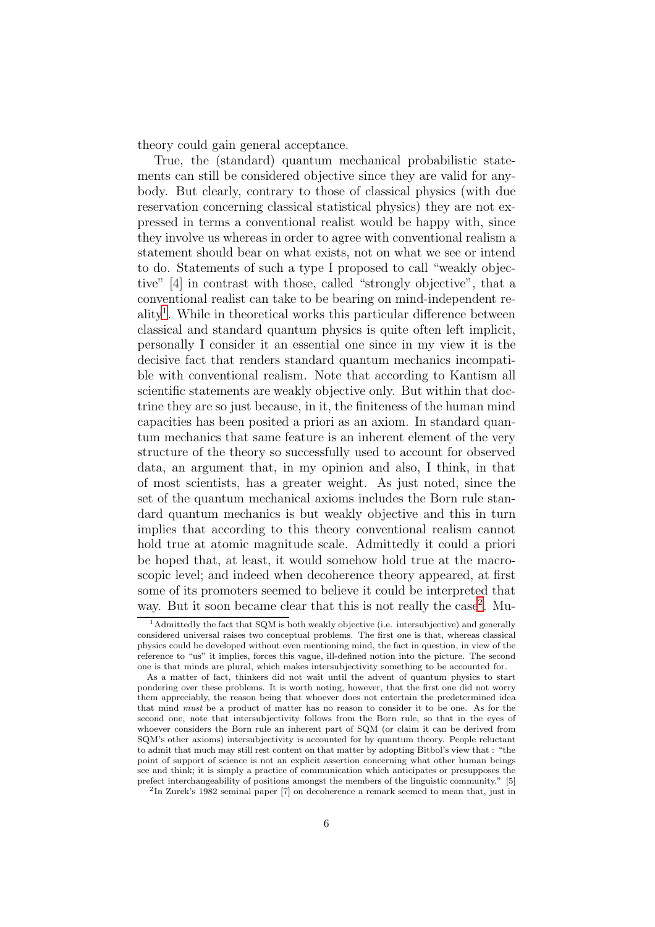theory could gain general acceptance.

True, the (standard) quantum mechanical probabilistic statements can still be considered objective since they are valid for anybody. But clearly, contrary to those of classical physics (with due reservation concerning classical statistical physics) they are not expressed in terms a conventional realist would be happy with, since they involve us whereas in order to agree with conventional realism a statement should bear on what exists, not on what we see or intend to do. Statements of such a type I proposed to call "weakly objective" [4] in contrast with those, called "strongly objective", that a conventional realist can take to be bearing on mind-independent re-ality<sup>[1](#page-5-0)</sup>. While in theoretical works this particular difference between classical and standard quantum physics is quite often left implicit, personally I consider it an essential one since in my view it is the decisive fact that renders standard quantum mechanics incompatible with conventional realism. Note that according to Kantism all scientific statements are weakly objective only. But within that doctrine they are so just because, in it, the finiteness of the human mind capacities has been posited a priori as an axiom. In standard quantum mechanics that same feature is an inherent element of the very structure of the theory so successfully used to account for observed data, an argument that, in my opinion and also, I think, in that of most scientists, has a greater weight. As just noted, since the set of the quantum mechanical axioms includes the Born rule standard quantum mechanics is but weakly objective and this in turn implies that according to this theory conventional realism cannot hold true at atomic magnitude scale. Admittedly it could a priori be hoped that, at least, it would somehow hold true at the macroscopic level; and indeed when decoherence theory appeared, at first some of its promoters seemed to believe it could be interpreted that way. But it soon became clear that this is not really the case<sup>[2](#page-5-1)</sup>. Mu-

<span id="page-5-1"></span>2 In Zurek's 1982 seminal paper [7] on decoherence a remark seemed to mean that, just in

<span id="page-5-0"></span> $1$  Admittedly the fact that SQM is both weakly objective (i.e. intersubjective) and generally considered universal raises two conceptual problems. The first one is that, whereas classical physics could be developed without even mentioning mind, the fact in question, in view of the reference to "us" it implies, forces this vague, ill-defined notion into the picture. The second one is that minds are plural, which makes intersubjectivity something to be accounted for.

As a matter of fact, thinkers did not wait until the advent of quantum physics to start pondering over these problems. It is worth noting, however, that the first one did not worry them appreciably, the reason being that whoever does not entertain the predetermined idea that mind must be a product of matter has no reason to consider it to be one. As for the second one, note that intersubjectivity follows from the Born rule, so that in the eyes of whoever considers the Born rule an inherent part of SQM (or claim it can be derived from SQM's other axioms) intersubjectivity is accounted for by quantum theory. People reluctant to admit that much may still rest content on that matter by adopting Bitbol's view that : "the point of support of science is not an explicit assertion concerning what other human beings see and think; it is simply a practice of communication which anticipates or presupposes the prefect interchangeability of positions amongst the members of the linguistic community." [5]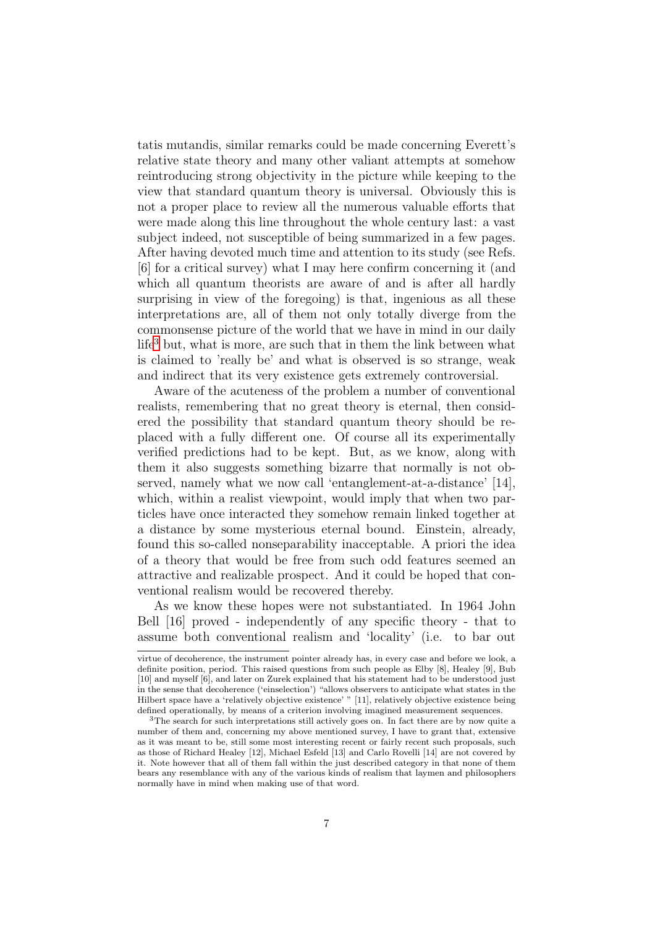tatis mutandis, similar remarks could be made concerning Everett's relative state theory and many other valiant attempts at somehow reintroducing strong objectivity in the picture while keeping to the view that standard quantum theory is universal. Obviously this is not a proper place to review all the numerous valuable efforts that were made along this line throughout the whole century last: a vast subject indeed, not susceptible of being summarized in a few pages. After having devoted much time and attention to its study (see Refs. [6] for a critical survey) what I may here confirm concerning it (and which all quantum theorists are aware of and is after all hardly surprising in view of the foregoing) is that, ingenious as all these interpretations are, all of them not only totally diverge from the commonsense picture of the world that we have in mind in our daily life<sup>[3](#page-6-0)</sup> but, what is more, are such that in them the link between what is claimed to 'really be' and what is observed is so strange, weak and indirect that its very existence gets extremely controversial.

Aware of the acuteness of the problem a number of conventional realists, remembering that no great theory is eternal, then considered the possibility that standard quantum theory should be replaced with a fully different one. Of course all its experimentally verified predictions had to be kept. But, as we know, along with them it also suggests something bizarre that normally is not observed, namely what we now call 'entanglement-at-a-distance' [14], which, within a realist viewpoint, would imply that when two particles have once interacted they somehow remain linked together at a distance by some mysterious eternal bound. Einstein, already, found this so-called nonseparability inacceptable. A priori the idea of a theory that would be free from such odd features seemed an attractive and realizable prospect. And it could be hoped that conventional realism would be recovered thereby.

As we know these hopes were not substantiated. In 1964 John Bell [16] proved - independently of any specific theory - that to assume both conventional realism and 'locality' (i.e. to bar out

virtue of decoherence, the instrument pointer already has, in every case and before we look, a definite position, period. This raised questions from such people as Elby [8], Healey [9], Bub [10] and myself [6], and later on Zurek explained that his statement had to be understood just in the sense that decoherence ('einselection') "allows observers to anticipate what states in the Hilbert space have a 'relatively objective existence' " [11], relatively objective existence being defined operationally, by means of a criterion involving imagined measurement sequences.

<span id="page-6-0"></span><sup>&</sup>lt;sup>3</sup>The search for such interpretations still actively goes on. In fact there are by now quite a number of them and, concerning my above mentioned survey, I have to grant that, extensive as it was meant to be, still some most interesting recent or fairly recent such proposals, such as those of Richard Healey [12], Michael Esfeld [13] and Carlo Rovelli [14] are not covered by it. Note however that all of them fall within the just described category in that none of them bears any resemblance with any of the various kinds of realism that laymen and philosophers normally have in mind when making use of that word.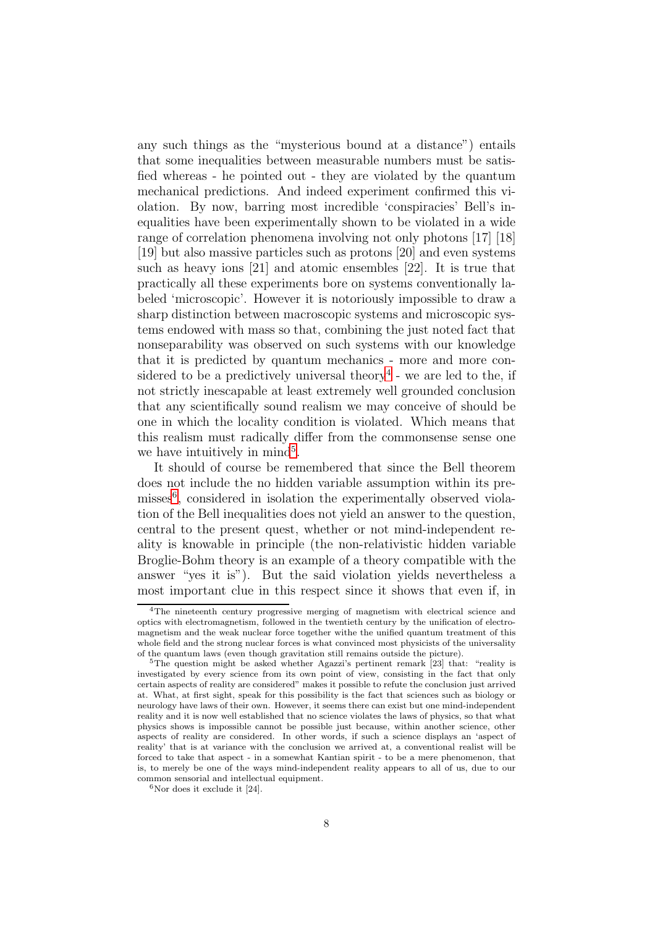any such things as the "mysterious bound at a distance") entails that some inequalities between measurable numbers must be satisfied whereas - he pointed out - they are violated by the quantum mechanical predictions. And indeed experiment confirmed this violation. By now, barring most incredible 'conspiracies' Bell's inequalities have been experimentally shown to be violated in a wide range of correlation phenomena involving not only photons [17] [18] [19] but also massive particles such as protons [20] and even systems such as heavy ions [21] and atomic ensembles [22]. It is true that practically all these experiments bore on systems conventionally labeled 'microscopic'. However it is notoriously impossible to draw a sharp distinction between macroscopic systems and microscopic systems endowed with mass so that, combining the just noted fact that nonseparability was observed on such systems with our knowledge that it is predicted by quantum mechanics - more and more con-sidered to be a predictively universal theory<sup>[4](#page-7-0)</sup> - we are led to the, if not strictly inescapable at least extremely well grounded conclusion that any scientifically sound realism we may conceive of should be one in which the locality condition is violated. Which means that this realism must radically differ from the commonsense sense one we have intuitively in  $\text{mind}^5$  $\text{mind}^5$ .

It should of course be remembered that since the Bell theorem does not include the no hidden variable assumption within its pre-misses<sup>[6](#page-7-2)</sup>, considered in isolation the experimentally observed violation of the Bell inequalities does not yield an answer to the question, central to the present quest, whether or not mind-independent reality is knowable in principle (the non-relativistic hidden variable Broglie-Bohm theory is an example of a theory compatible with the answer "yes it is"). But the said violation yields nevertheless a most important clue in this respect since it shows that even if, in

<span id="page-7-0"></span><sup>&</sup>lt;sup>4</sup>The nineteenth century progressive merging of magnetism with electrical science and optics with electromagnetism, followed in the twentieth century by the unification of electromagnetism and the weak nuclear force together withe the unified quantum treatment of this whole field and the strong nuclear forces is what convinced most physicists of the universality of the quantum laws (even though gravitation still remains outside the picture).

<span id="page-7-1"></span><sup>&</sup>lt;sup>5</sup>The question might be asked whether Agazzi's pertinent remark [23] that: "reality is investigated by every science from its own point of view, consisting in the fact that only certain aspects of reality are considered" makes it possible to refute the conclusion just arrived at. What, at first sight, speak for this possibility is the fact that sciences such as biology or neurology have laws of their own. However, it seems there can exist but one mind-independent reality and it is now well established that no science violates the laws of physics, so that what physics shows is impossible cannot be possible just because, within another science, other aspects of reality are considered. In other words, if such a science displays an 'aspect of reality' that is at variance with the conclusion we arrived at, a conventional realist will be forced to take that aspect - in a somewhat Kantian spirit - to be a mere phenomenon, that is, to merely be one of the ways mind-independent reality appears to all of us, due to our common sensorial and intellectual equipment.

<span id="page-7-2"></span> ${}^{6}$ Nor does it exclude it [24].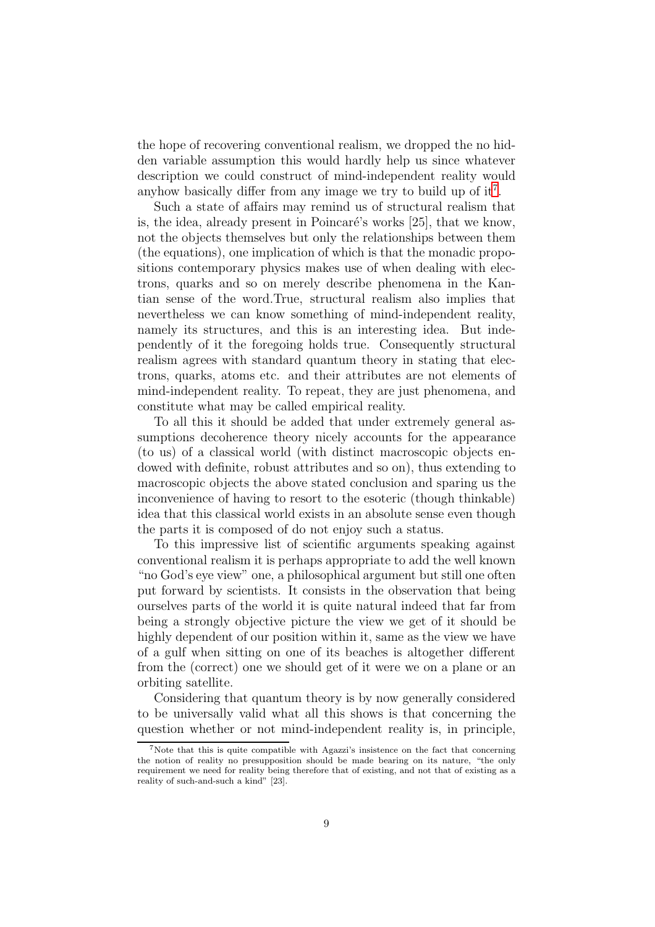the hope of recovering conventional realism, we dropped the no hidden variable assumption this would hardly help us since whatever description we could construct of mind-independent reality would anyhow basically differ from any image we try to build up of  $it^7$  $it^7$ .

Such a state of affairs may remind us of structural realism that is, the idea, already present in Poincaré's works  $[25]$ , that we know, not the objects themselves but only the relationships between them (the equations), one implication of which is that the monadic propositions contemporary physics makes use of when dealing with electrons, quarks and so on merely describe phenomena in the Kantian sense of the word.True, structural realism also implies that nevertheless we can know something of mind-independent reality, namely its structures, and this is an interesting idea. But independently of it the foregoing holds true. Consequently structural realism agrees with standard quantum theory in stating that electrons, quarks, atoms etc. and their attributes are not elements of mind-independent reality. To repeat, they are just phenomena, and constitute what may be called empirical reality.

To all this it should be added that under extremely general assumptions decoherence theory nicely accounts for the appearance (to us) of a classical world (with distinct macroscopic objects endowed with definite, robust attributes and so on), thus extending to macroscopic objects the above stated conclusion and sparing us the inconvenience of having to resort to the esoteric (though thinkable) idea that this classical world exists in an absolute sense even though the parts it is composed of do not enjoy such a status.

To this impressive list of scientific arguments speaking against conventional realism it is perhaps appropriate to add the well known "no God's eye view" one, a philosophical argument but still one often put forward by scientists. It consists in the observation that being ourselves parts of the world it is quite natural indeed that far from being a strongly objective picture the view we get of it should be highly dependent of our position within it, same as the view we have of a gulf when sitting on one of its beaches is altogether different from the (correct) one we should get of it were we on a plane or an orbiting satellite.

Considering that quantum theory is by now generally considered to be universally valid what all this shows is that concerning the question whether or not mind-independent reality is, in principle,

<span id="page-8-0"></span><sup>7</sup>Note that this is quite compatible with Agazzi's insistence on the fact that concerning the notion of reality no presupposition should be made bearing on its nature, "the only requirement we need for reality being therefore that of existing, and not that of existing as a reality of such-and-such a kind" [23].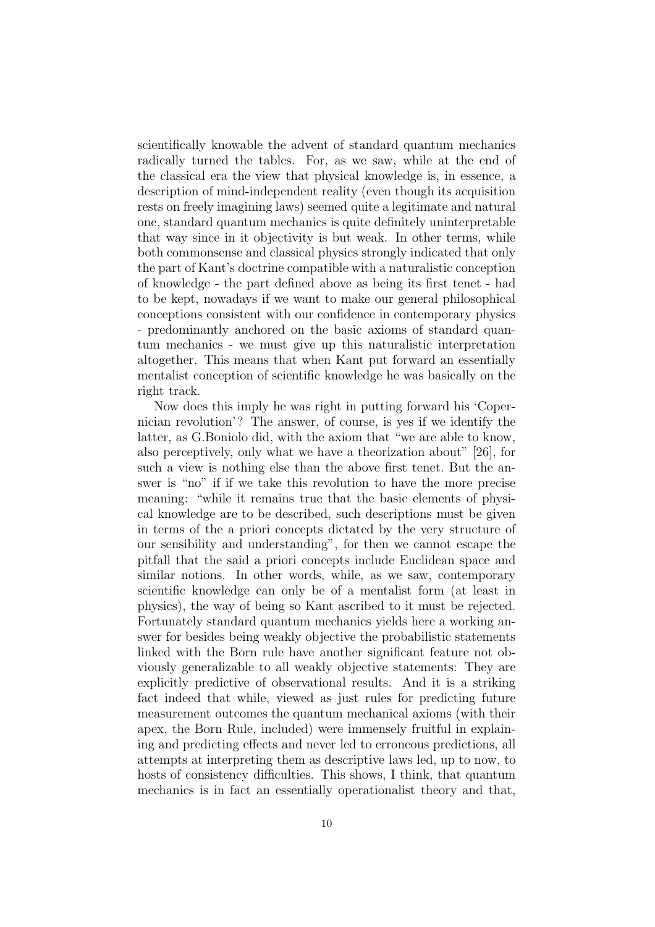scientifically knowable the advent of standard quantum mechanics radically turned the tables. For, as we saw, while at the end of the classical era the view that physical knowledge is, in essence, a description of mind-independent reality (even though its acquisition rests on freely imagining laws) seemed quite a legitimate and natural one, standard quantum mechanics is quite definitely uninterpretable that way since in it objectivity is but weak. In other terms, while both commonsense and classical physics strongly indicated that only the part of Kant's doctrine compatible with a naturalistic conception of knowledge - the part defined above as being its first tenet - had to be kept, nowadays if we want to make our general philosophical conceptions consistent with our confidence in contemporary physics - predominantly anchored on the basic axioms of standard quantum mechanics - we must give up this naturalistic interpretation altogether. This means that when Kant put forward an essentially mentalist conception of scientific knowledge he was basically on the right track.

Now does this imply he was right in putting forward his 'Copernician revolution'? The answer, of course, is yes if we identify the latter, as G.Boniolo did, with the axiom that "we are able to know, also perceptively, only what we have a theorization about" [26], for such a view is nothing else than the above first tenet. But the answer is "no" if if we take this revolution to have the more precise meaning: "while it remains true that the basic elements of physical knowledge are to be described, such descriptions must be given in terms of the a priori concepts dictated by the very structure of our sensibility and understanding", for then we cannot escape the pitfall that the said a priori concepts include Euclidean space and similar notions. In other words, while, as we saw, contemporary scientific knowledge can only be of a mentalist form (at least in physics), the way of being so Kant ascribed to it must be rejected. Fortunately standard quantum mechanics yields here a working answer for besides being weakly objective the probabilistic statements linked with the Born rule have another significant feature not obviously generalizable to all weakly objective statements: They are explicitly predictive of observational results. And it is a striking fact indeed that while, viewed as just rules for predicting future measurement outcomes the quantum mechanical axioms (with their apex, the Born Rule, included) were immensely fruitful in explaining and predicting effects and never led to erroneous predictions, all attempts at interpreting them as descriptive laws led, up to now, to hosts of consistency difficulties. This shows, I think, that quantum mechanics is in fact an essentially operationalist theory and that,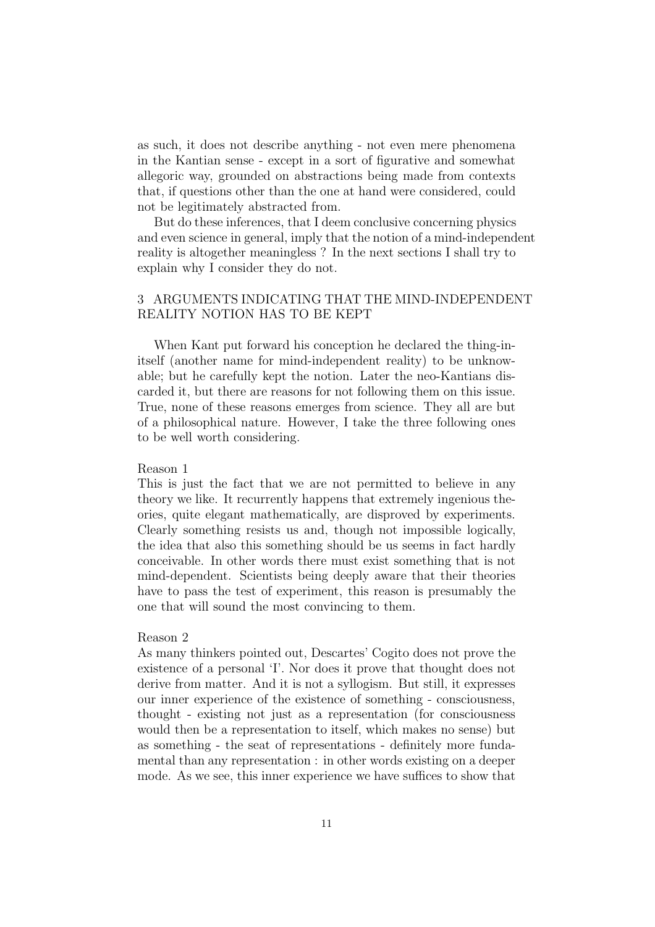as such, it does not describe anything - not even mere phenomena in the Kantian sense - except in a sort of figurative and somewhat allegoric way, grounded on abstractions being made from contexts that, if questions other than the one at hand were considered, could not be legitimately abstracted from.

But do these inferences, that I deem conclusive concerning physics and even science in general, imply that the notion of a mind-independent reality is altogether meaningless ? In the next sections I shall try to explain why I consider they do not.

# 3 ARGUMENTS INDICATING THAT THE MIND-INDEPENDENT REALITY NOTION HAS TO BE KEPT

When Kant put forward his conception he declared the thing-initself (another name for mind-independent reality) to be unknowable; but he carefully kept the notion. Later the neo-Kantians discarded it, but there are reasons for not following them on this issue. True, none of these reasons emerges from science. They all are but of a philosophical nature. However, I take the three following ones to be well worth considering.

#### Reason 1

This is just the fact that we are not permitted to believe in any theory we like. It recurrently happens that extremely ingenious theories, quite elegant mathematically, are disproved by experiments. Clearly something resists us and, though not impossible logically, the idea that also this something should be us seems in fact hardly conceivable. In other words there must exist something that is not mind-dependent. Scientists being deeply aware that their theories have to pass the test of experiment, this reason is presumably the one that will sound the most convincing to them.

#### Reason 2

As many thinkers pointed out, Descartes' Cogito does not prove the existence of a personal 'I'. Nor does it prove that thought does not derive from matter. And it is not a syllogism. But still, it expresses our inner experience of the existence of something - consciousness, thought - existing not just as a representation (for consciousness would then be a representation to itself, which makes no sense) but as something - the seat of representations - definitely more fundamental than any representation : in other words existing on a deeper mode. As we see, this inner experience we have suffices to show that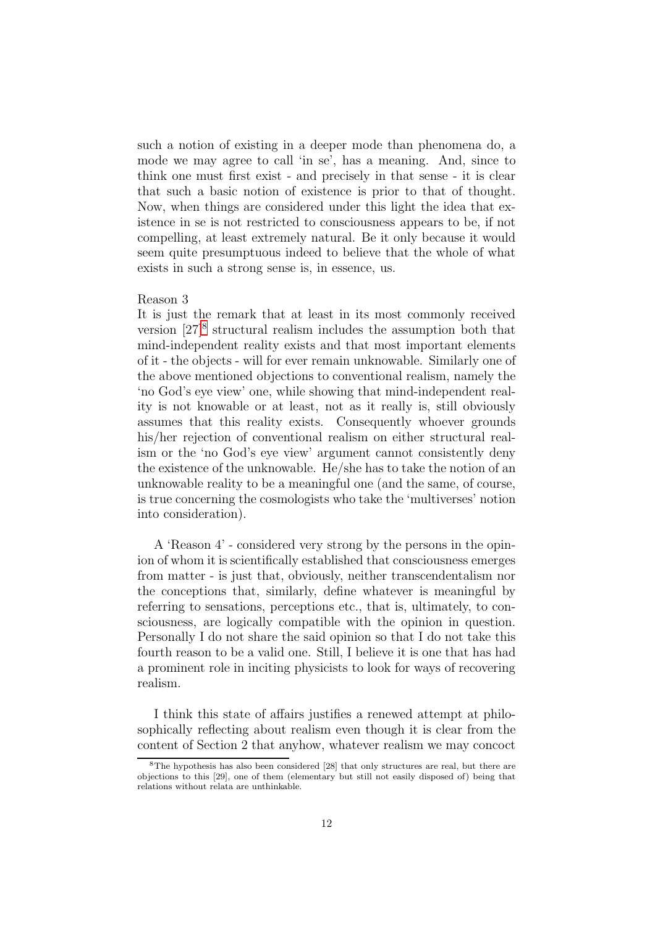such a notion of existing in a deeper mode than phenomena do, a mode we may agree to call 'in se', has a meaning. And, since to think one must first exist - and precisely in that sense - it is clear that such a basic notion of existence is prior to that of thought. Now, when things are considered under this light the idea that existence in se is not restricted to consciousness appears to be, if not compelling, at least extremely natural. Be it only because it would seem quite presumptuous indeed to believe that the whole of what exists in such a strong sense is, in essence, us.

### Reason 3

It is just the remark that at least in its most commonly received version [27]<sup>[8](#page-11-0)</sup> structural realism includes the assumption both that mind-independent reality exists and that most important elements of it - the objects - will for ever remain unknowable. Similarly one of the above mentioned objections to conventional realism, namely the 'no God's eye view' one, while showing that mind-independent reality is not knowable or at least, not as it really is, still obviously assumes that this reality exists. Consequently whoever grounds his/her rejection of conventional realism on either structural realism or the 'no God's eye view' argument cannot consistently deny the existence of the unknowable. He/she has to take the notion of an unknowable reality to be a meaningful one (and the same, of course, is true concerning the cosmologists who take the 'multiverses' notion into consideration).

A 'Reason 4' - considered very strong by the persons in the opinion of whom it is scientifically established that consciousness emerges from matter - is just that, obviously, neither transcendentalism nor the conceptions that, similarly, define whatever is meaningful by referring to sensations, perceptions etc., that is, ultimately, to consciousness, are logically compatible with the opinion in question. Personally I do not share the said opinion so that I do not take this fourth reason to be a valid one. Still, I believe it is one that has had a prominent role in inciting physicists to look for ways of recovering realism.

I think this state of affairs justifies a renewed attempt at philosophically reflecting about realism even though it is clear from the content of Section 2 that anyhow, whatever realism we may concoct

<span id="page-11-0"></span><sup>8</sup>The hypothesis has also been considered [28] that only structures are real, but there are objections to this [29], one of them (elementary but still not easily disposed of) being that relations without relata are unthinkable.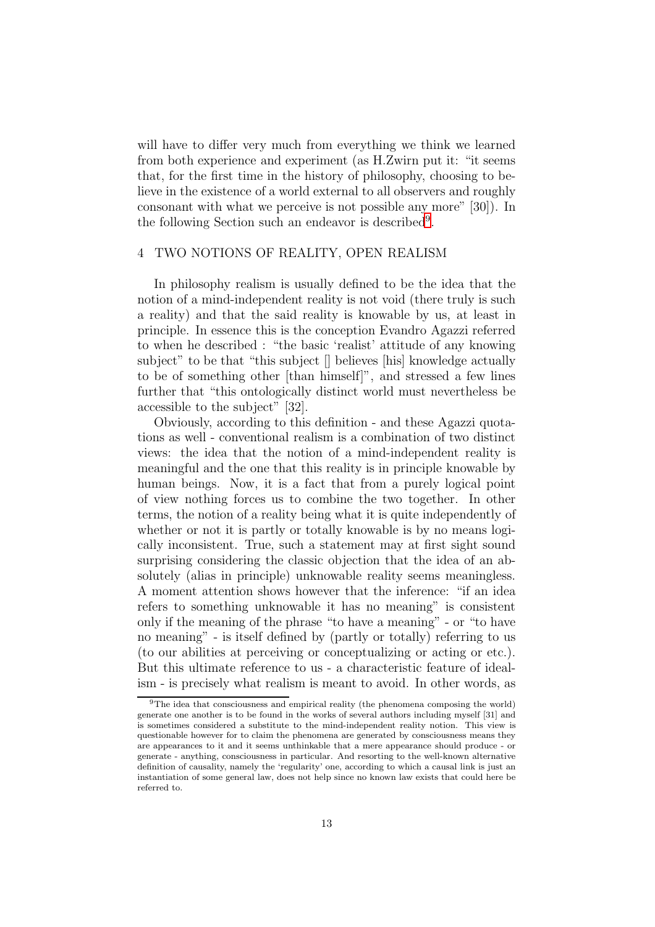will have to differ very much from everything we think we learned from both experience and experiment (as H.Zwirn put it: "it seems that, for the first time in the history of philosophy, choosing to believe in the existence of a world external to all observers and roughly consonant with what we perceive is not possible any more" [30]). In the following Section such an endeavor is described<sup>[9](#page-12-0)</sup>.

## 4 TWO NOTIONS OF REALITY, OPEN REALISM

In philosophy realism is usually defined to be the idea that the notion of a mind-independent reality is not void (there truly is such a reality) and that the said reality is knowable by us, at least in principle. In essence this is the conception Evandro Agazzi referred to when he described : "the basic 'realist' attitude of any knowing subject" to be that "this subject [] believes [his] knowledge actually to be of something other [than himself]", and stressed a few lines further that "this ontologically distinct world must nevertheless be accessible to the subject" [32].

Obviously, according to this definition - and these Agazzi quotations as well - conventional realism is a combination of two distinct views: the idea that the notion of a mind-independent reality is meaningful and the one that this reality is in principle knowable by human beings. Now, it is a fact that from a purely logical point of view nothing forces us to combine the two together. In other terms, the notion of a reality being what it is quite independently of whether or not it is partly or totally knowable is by no means logically inconsistent. True, such a statement may at first sight sound surprising considering the classic objection that the idea of an absolutely (alias in principle) unknowable reality seems meaningless. A moment attention shows however that the inference: "if an idea refers to something unknowable it has no meaning" is consistent only if the meaning of the phrase "to have a meaning" - or "to have no meaning" - is itself defined by (partly or totally) referring to us (to our abilities at perceiving or conceptualizing or acting or etc.). But this ultimate reference to us - a characteristic feature of idealism - is precisely what realism is meant to avoid. In other words, as

<span id="page-12-0"></span><sup>&</sup>lt;sup>9</sup>The idea that consciousness and empirical reality (the phenomena composing the world) generate one another is to be found in the works of several authors including myself [31] and is sometimes considered a substitute to the mind-independent reality notion. This view is questionable however for to claim the phenomena are generated by consciousness means they are appearances to it and it seems unthinkable that a mere appearance should produce - or generate - anything, consciousness in particular. And resorting to the well-known alternative definition of causality, namely the 'regularity' one, according to which a causal link is just an instantiation of some general law, does not help since no known law exists that could here be referred to.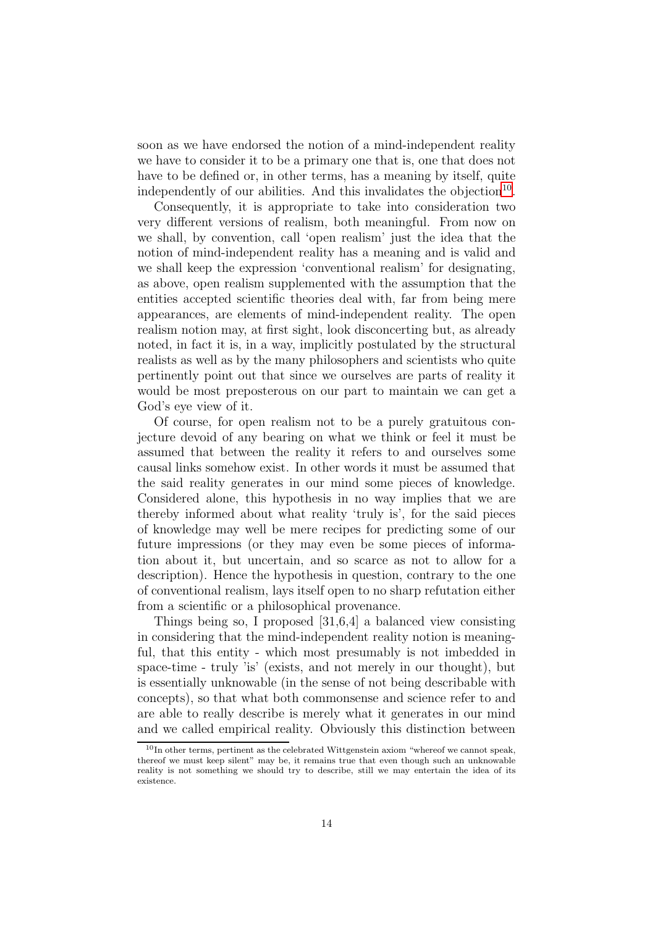soon as we have endorsed the notion of a mind-independent reality we have to consider it to be a primary one that is, one that does not have to be defined or, in other terms, has a meaning by itself, quite independently of our abilities. And this invalidates the objection $^{10}$  $^{10}$  $^{10}$ .

Consequently, it is appropriate to take into consideration two very different versions of realism, both meaningful. From now on we shall, by convention, call 'open realism' just the idea that the notion of mind-independent reality has a meaning and is valid and we shall keep the expression 'conventional realism' for designating, as above, open realism supplemented with the assumption that the entities accepted scientific theories deal with, far from being mere appearances, are elements of mind-independent reality. The open realism notion may, at first sight, look disconcerting but, as already noted, in fact it is, in a way, implicitly postulated by the structural realists as well as by the many philosophers and scientists who quite pertinently point out that since we ourselves are parts of reality it would be most preposterous on our part to maintain we can get a God's eye view of it.

Of course, for open realism not to be a purely gratuitous conjecture devoid of any bearing on what we think or feel it must be assumed that between the reality it refers to and ourselves some causal links somehow exist. In other words it must be assumed that the said reality generates in our mind some pieces of knowledge. Considered alone, this hypothesis in no way implies that we are thereby informed about what reality 'truly is', for the said pieces of knowledge may well be mere recipes for predicting some of our future impressions (or they may even be some pieces of information about it, but uncertain, and so scarce as not to allow for a description). Hence the hypothesis in question, contrary to the one of conventional realism, lays itself open to no sharp refutation either from a scientific or a philosophical provenance.

Things being so, I proposed [31,6,4] a balanced view consisting in considering that the mind-independent reality notion is meaningful, that this entity - which most presumably is not imbedded in space-time - truly 'is' (exists, and not merely in our thought), but is essentially unknowable (in the sense of not being describable with concepts), so that what both commonsense and science refer to and are able to really describe is merely what it generates in our mind and we called empirical reality. Obviously this distinction between

<span id="page-13-0"></span><sup>10</sup>In other terms, pertinent as the celebrated Wittgenstein axiom "whereof we cannot speak, thereof we must keep silent" may be, it remains true that even though such an unknowable reality is not something we should try to describe, still we may entertain the idea of its existence.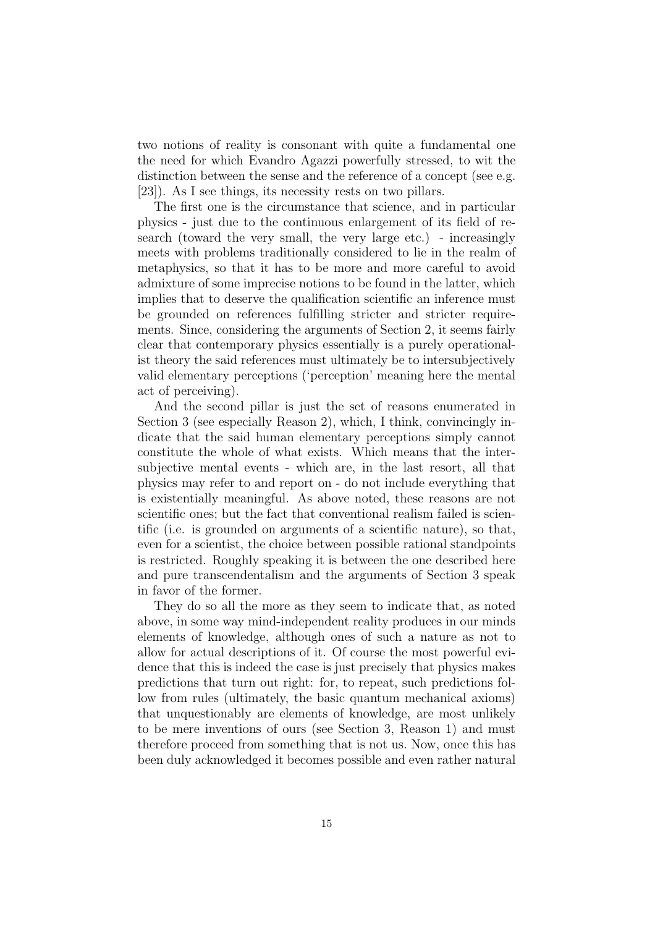two notions of reality is consonant with quite a fundamental one the need for which Evandro Agazzi powerfully stressed, to wit the distinction between the sense and the reference of a concept (see e.g. [23]). As I see things, its necessity rests on two pillars.

The first one is the circumstance that science, and in particular physics - just due to the continuous enlargement of its field of research (toward the very small, the very large etc.) - increasingly meets with problems traditionally considered to lie in the realm of metaphysics, so that it has to be more and more careful to avoid admixture of some imprecise notions to be found in the latter, which implies that to deserve the qualification scientific an inference must be grounded on references fulfilling stricter and stricter requirements. Since, considering the arguments of Section 2, it seems fairly clear that contemporary physics essentially is a purely operationalist theory the said references must ultimately be to intersubjectively valid elementary perceptions ('perception' meaning here the mental act of perceiving).

And the second pillar is just the set of reasons enumerated in Section 3 (see especially Reason 2), which, I think, convincingly indicate that the said human elementary perceptions simply cannot constitute the whole of what exists. Which means that the intersubjective mental events - which are, in the last resort, all that physics may refer to and report on - do not include everything that is existentially meaningful. As above noted, these reasons are not scientific ones; but the fact that conventional realism failed is scientific (i.e. is grounded on arguments of a scientific nature), so that, even for a scientist, the choice between possible rational standpoints is restricted. Roughly speaking it is between the one described here and pure transcendentalism and the arguments of Section 3 speak in favor of the former.

They do so all the more as they seem to indicate that, as noted above, in some way mind-independent reality produces in our minds elements of knowledge, although ones of such a nature as not to allow for actual descriptions of it. Of course the most powerful evidence that this is indeed the case is just precisely that physics makes predictions that turn out right: for, to repeat, such predictions follow from rules (ultimately, the basic quantum mechanical axioms) that unquestionably are elements of knowledge, are most unlikely to be mere inventions of ours (see Section 3, Reason 1) and must therefore proceed from something that is not us. Now, once this has been duly acknowledged it becomes possible and even rather natural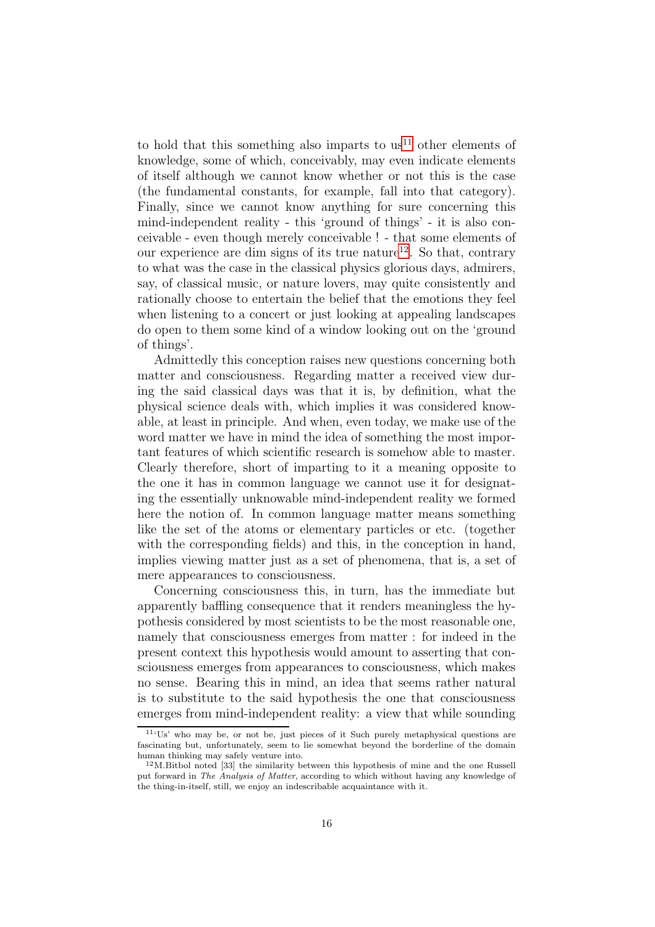to hold that this something also imparts to  $us<sup>11</sup>$  $us<sup>11</sup>$  $us<sup>11</sup>$  other elements of knowledge, some of which, conceivably, may even indicate elements of itself although we cannot know whether or not this is the case (the fundamental constants, for example, fall into that category). Finally, since we cannot know anything for sure concerning this mind-independent reality - this 'ground of things' - it is also conceivable - even though merely conceivable ! - that some elements of our experience are dim signs of its true nature<sup>[12](#page-15-1)</sup>. So that, contrary to what was the case in the classical physics glorious days, admirers, say, of classical music, or nature lovers, may quite consistently and rationally choose to entertain the belief that the emotions they feel when listening to a concert or just looking at appealing landscapes do open to them some kind of a window looking out on the 'ground of things'.

Admittedly this conception raises new questions concerning both matter and consciousness. Regarding matter a received view during the said classical days was that it is, by definition, what the physical science deals with, which implies it was considered knowable, at least in principle. And when, even today, we make use of the word matter we have in mind the idea of something the most important features of which scientific research is somehow able to master. Clearly therefore, short of imparting to it a meaning opposite to the one it has in common language we cannot use it for designating the essentially unknowable mind-independent reality we formed here the notion of. In common language matter means something like the set of the atoms or elementary particles or etc. (together with the corresponding fields) and this, in the conception in hand, implies viewing matter just as a set of phenomena, that is, a set of mere appearances to consciousness.

Concerning consciousness this, in turn, has the immediate but apparently baffling consequence that it renders meaningless the hypothesis considered by most scientists to be the most reasonable one, namely that consciousness emerges from matter : for indeed in the present context this hypothesis would amount to asserting that consciousness emerges from appearances to consciousness, which makes no sense. Bearing this in mind, an idea that seems rather natural is to substitute to the said hypothesis the one that consciousness emerges from mind-independent reality: a view that while sounding

<span id="page-15-0"></span><sup>11</sup>'Us' who may be, or not be, just pieces of it Such purely metaphysical questions are fascinating but, unfortunately, seem to lie somewhat beyond the borderline of the domain human thinking may safely venture into.

<span id="page-15-1"></span> $12$ M.Bitbol noted [33] the similarity between this hypothesis of mine and the one Russell put forward in The Analysis of Matter, according to which without having any knowledge of the thing-in-itself, still, we enjoy an indescribable acquaintance with it.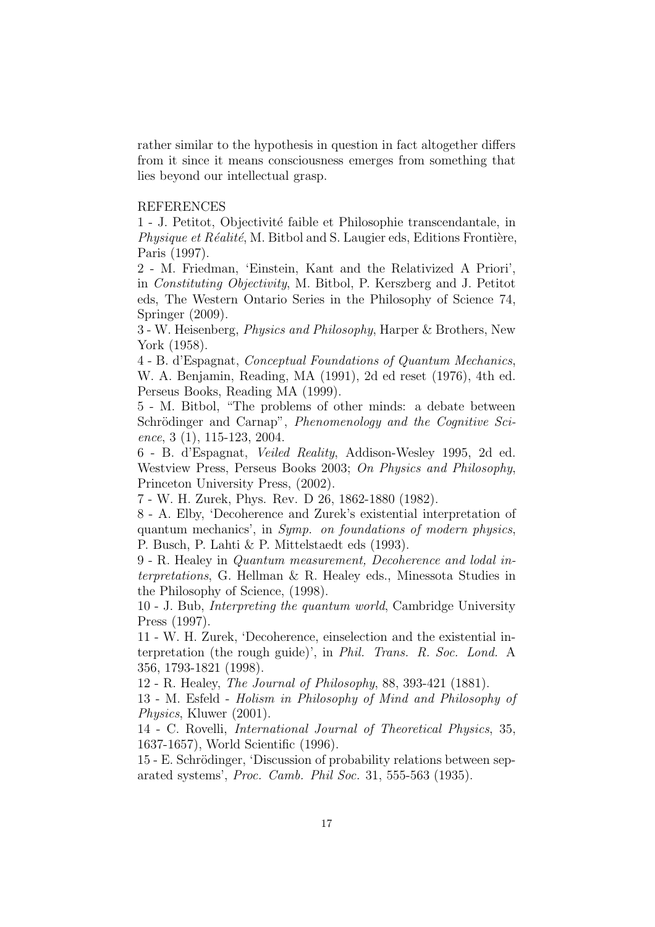rather similar to the hypothesis in question in fact altogether differs from it since it means consciousness emerges from something that lies beyond our intellectual grasp.

## REFERENCES

1 - J. Petitot, Objectivit´e faible et Philosophie transcendantale, in Physique et  $R\acute{e}alit\acute{e}$ , M. Bitbol and S. Laugier eds, Editions Frontière, Paris (1997).

2 - M. Friedman, 'Einstein, Kant and the Relativized A Priori', in Constituting Objectivity, M. Bitbol, P. Kerszberg and J. Petitot eds, The Western Ontario Series in the Philosophy of Science 74, Springer (2009).

3 - W. Heisenberg, Physics and Philosophy, Harper & Brothers, New York (1958).

4 - B. d'Espagnat, Conceptual Foundations of Quantum Mechanics, W. A. Benjamin, Reading, MA (1991), 2d ed reset (1976), 4th ed. Perseus Books, Reading MA (1999).

5 - M. Bitbol, "The problems of other minds: a debate between Schrödinger and Carnap", Phenomenology and the Cognitive Science, 3 (1), 115-123, 2004.

6 - B. d'Espagnat, Veiled Reality, Addison-Wesley 1995, 2d ed. Westview Press, Perseus Books 2003; On Physics and Philosophy, Princeton University Press, (2002).

7 - W. H. Zurek, Phys. Rev. D 26, 1862-1880 (1982).

8 - A. Elby, 'Decoherence and Zurek's existential interpretation of quantum mechanics', in Symp. on foundations of modern physics, P. Busch, P. Lahti & P. Mittelstaedt eds (1993).

9 - R. Healey in Quantum measurement, Decoherence and lodal interpretations, G. Hellman & R. Healey eds., Minessota Studies in the Philosophy of Science, (1998).

10 - J. Bub, Interpreting the quantum world, Cambridge University Press (1997).

11 - W. H. Zurek, 'Decoherence, einselection and the existential interpretation (the rough guide)', in Phil. Trans. R. Soc. Lond. A 356, 1793-1821 (1998).

12 - R. Healey, The Journal of Philosophy, 88, 393-421 (1881).

13 - M. Esfeld - Holism in Philosophy of Mind and Philosophy of Physics, Kluwer (2001).

14 - C. Rovelli, International Journal of Theoretical Physics, 35, 1637-1657), World Scientific (1996).

15 - E. Schrödinger, 'Discussion of probability relations between separated systems', Proc. Camb. Phil Soc. 31, 555-563 (1935).